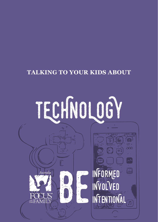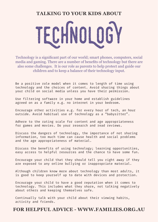

Technology is a significant part of our world; smart phones, computers, social media and gaming. There are a number of benefits of technology but there are also some challenges. It is our role as parents to help protect and guide our children and to keep a balance of their technology input.

Be a positive role model when it comes to length of time using technology and the choices of content. Avoid sharing things about your child on social media unless you have their permission.

Use filtering software in your home and establish guidelines agreed on as a family e.g. no internet in your bedroom.

Encourage other activities e.g. for every hour of tech, an hour outside. Avoid habitual use of technology as a "babysitter".

Adhere to the rating scale for content and age appropriateness for games and movies. Do your research and read reviews.

Discuss the dangers of technology, the importance of not sharing information, too much time can cause health and social problems and the age appropriateness of material.

Discuss the benefits of using technology; learning opportunities, easy access to helpful resources and the chance to have some fun.

Encourage your child that they should tell you right away if they are exposed to any online bullying or inappropriate material.

Although children know more about technology than most adults, it is good to keep yourself up to date with devices and protection.

Encourage your child to have a good reputation when it comes to technology. This includes what they share, not talking negatively about others and keeping themselves safe.

Continually talk with your child about their viewing habits, activity and friends.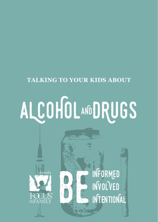## ALCOHOLANDRUGS

ustralic

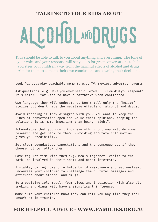# LCOHOL AND DRUGS

Kids should be able to talk to you about anything and everything. The tone of your voice and your response will set you up for great conversations to help you steer your children away from the harmful effects of alcohol and drugs. Aim for them to come to their own conclusions and owning their decisions.

Look for everyday teachable moments e.g. TV, movies, adverts, events

Ask questions. e.g. Have you ever been offered....? How did you respond? It's helpful for kids to have a narrative when confronted.

Use language they will understand. Don't tell only the 'horror' stories but don't hide the negative effects of alcohol and drugs.

Avoid reacting if they disagree with you. You want to keep the lines of conversation open and value their opinions. Keeping the relationship is more important than being "right".

Acknowledge that you don't know everything but you will do some research and get back to them. Providing accurate information gives you credibility.

Set clear boundaries, expectations and the consequences if they choose not to follow them.

Have regular time with them e.g. meals together, visits to the park, be involved in their sport and other interests.

A stable, caring home life helps build resilience and self-esteem. Encourage your children to challenge the cultural messages and attitudes about alcohol and drugs.

Be a positive role model. Your views and interaction with alcohol, smoking and drugs will have a significant influence.

Make sure your children know they can call you any time they feel unsafe or in trouble.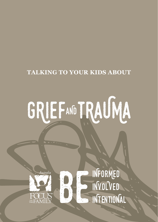## GRIEFAND TRAUMA





INFORMED INVOLVED INTENTIONAL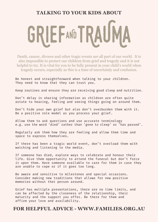

Death, cancer, divorce and other tragic events are all part of our world. It is also impossible to protect our children from grief and tragedy and it is not helpful to try. It is vital for you to be fully present in your child's world when tragedy occurs, especially as this is a time of uncertainly and confusion.

Be honest and straightforward when talking to your children. They need to know that they can trust you.

Keep routines and ensure they are receiving good sleep and nutrition.

Don't delay in sharing information as children are often quite astute to hearing, feeling and seeing things going on around them.

Don't hide your own grief but also don't overburden them with it. Be a positive role model as you process your grief.

Allow them to ask questions and use accurate terminology e.g. use the word 'died' rather than 'gone to sleep' or 'has passed'.

Regularly ask them how they are feeling and allow them time and space to express themselves.

If there has been a tragic world event, don't overload them with watching and listening to the media.

If someone has died, explore ways to celebrate and honour their life. Give them opportunity to attend the funeral but don't force it upon them. Have someone available to care for them in case they are unable to cope or if it goes too long.

Be aware and sensitive to milestones and special occasions. Consider making new traditions that allows for new positive memories without that person around.

Grief has multiple presentations, there are no time limits, and can be affected by the closeness of the relationship, their maturity and the support you offer. Be there for them and affirm your love and availability.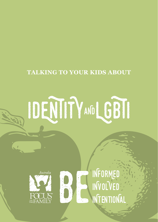





INFORMED INVOLVED **INTENTIONAL**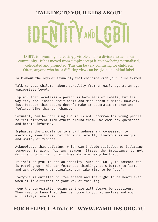

LGBTI is becoming increasingly visible and is a divisive issue in our community. It has moved from simply accept it, to now being normalised, celebrated and promoted. This can be very confusing for children. Often, anyone who has a differing view can be given an unkind label.

Talk about the joys of sexuality that coincide with your value system.

Talk to your children about sexuality from an early age at an age appropriate level.

Explain that sometimes a person is born male or female, but the way they feel inside their heart and mind doesn't match. However, just because that occurs doesn't make it automatic or true and feelings like this can change.

Sexuality can be confusing and it is not uncommon for young people to feel different from others around them. Welcome any questions and become informed.

Emphasise the importance to show kindness and compassion to everyone, even those that think differently. Everyone is unique and worthy of respect.

Acknowledge that bullying, which can include ridicule, or isolating someone, is wrong for any reason. Stress the importance to not do it and to stick up for those who are being bullied.

It isn't helpful to set an identity, such as LGBTI, to someone who is growing up. This can force set thinking. It's better to listen and acknowledge that sexuality can take time to be "set".

Everyone is entitled to free speech and the right to be heard even when it is different to your way of thinking.

Keep the conversation going as there will always be questions. They need to know that they can come to you at anytime and you will always love them.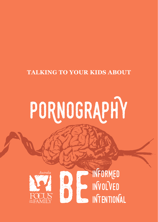## PORNOGRAPHY





INFORMED INVOLVED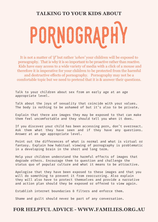

It is not a matter of *'if'* but rather *'when'* your children will be exposed to pornography. That is why it is so important to be proactive rather than reactive. Kids have easy access to a wide variety of media with a click of a mouse and therefore it is imperative for your children to be protected from the harmful and destructive effects of pornography. Pornography may not be a comfortable topic but we need to pretend that it is & answer their questions.

Talk to your children about sex from an early age at an age appropriate level.

Talk about the joys of sexuality that coincide with your values. The body is nothing to be ashamed of but it's also to be private.

Explain that there are images they may be exposed to that can make them feel uncomfortable and they should tell you when it does.

If you discover your child has been accessing porn, don't overreact. Ask them what they have seen and if they have any questions. Answer at an age appropriate level.

Point out the differences of what is normal and what is virtual or fantasy. Explain how habitual viewing of pornography is problematic in a developing brain in the short and long term.

Help your children understand the harmful effects of images that degrade others. Encourage them to question and challenge the status quo of popular culture and what it means to be attractive.

Apologise that they have been exposed to these images and that you will do something to prevent it from reoccurring. Also explain they will also have to protect themselves and provide a narrative and action plan should they be exposed or offered to view again.

Establish internet boundaries & filters and enforce them.

Shame and guilt should never be part of any conversation.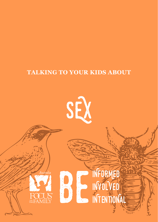

**INFORMED** 

INVOLVED



b